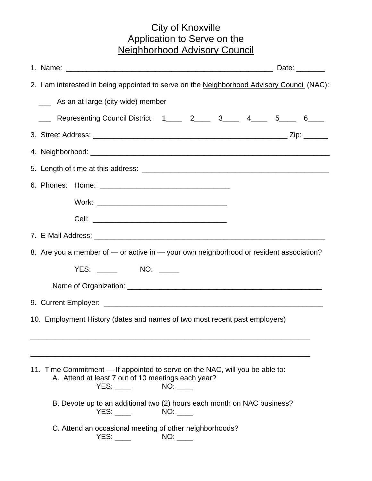## City of Knoxville Application to Serve on the Neighborhood Advisory Council

|                                                                                        | 2. I am interested in being appointed to serve on the Neighborhood Advisory Council (NAC):                                         |  |
|----------------------------------------------------------------------------------------|------------------------------------------------------------------------------------------------------------------------------------|--|
|                                                                                        | As an at-large (city-wide) member<br>$\frac{1}{2}$                                                                                 |  |
|                                                                                        | Representing Council District: 1_____ 2____ 3____ 4____ 5____ 6____                                                                |  |
|                                                                                        |                                                                                                                                    |  |
|                                                                                        |                                                                                                                                    |  |
|                                                                                        |                                                                                                                                    |  |
|                                                                                        |                                                                                                                                    |  |
|                                                                                        |                                                                                                                                    |  |
|                                                                                        |                                                                                                                                    |  |
|                                                                                        |                                                                                                                                    |  |
| 8. Are you a member of — or active in — your own neighborhood or resident association? |                                                                                                                                    |  |
|                                                                                        | YES: _______ NO: _____                                                                                                             |  |
|                                                                                        |                                                                                                                                    |  |
| 10. Employment History (dates and names of two most recent past employers)             |                                                                                                                                    |  |
|                                                                                        |                                                                                                                                    |  |
|                                                                                        |                                                                                                                                    |  |
|                                                                                        | 11. Time Commitment — If appointed to serve on the NAC, will you be able to:<br>A. Attend at least 7 out of 10 meetings each year? |  |
|                                                                                        | B. Devote up to an additional two (2) hours each month on NAC business?<br>YES:                                                    |  |
|                                                                                        | C. Attend an occasional meeting of other neighborhoods?                                                                            |  |